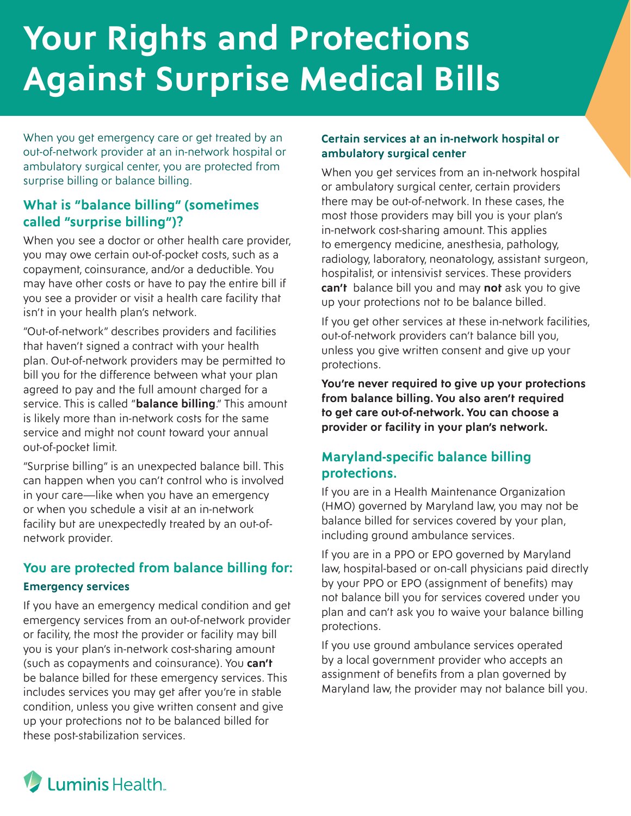# **Your Rights and Protections Against Surprise Medical Bills**

When you get emergency care or get treated by an out-of-network provider at an in-network hospital or ambulatory surgical center, you are protected from surprise billing or balance billing.

## **What is "balance billing" (sometimes called "surprise billing")?**

When you see a doctor or other health care provider, you may owe certain out-of-pocket costs, such as a copayment, coinsurance, and/or a deductible. You may have other costs or have to pay the entire bill if you see a provider or visit a health care facility that isn't in your health plan's network.

"Out-of-network" describes providers and facilities that haven't signed a contract with your health plan. Out-of-network providers may be permitted to bill you for the difference between what your plan agreed to pay and the full amount charged for a service. This is called "**balance billing**." This amount is likely more than in-network costs for the same service and might not count toward your annual out-of-pocket limit.

"Surprise billing" is an unexpected balance bill. This can happen when you can't control who is involved in your care—like when you have an emergency or when you schedule a visit at an in-network facility but are unexpectedly treated by an out-ofnetwork provider.

# **You are protected from balance billing for: Emergency services**

If you have an emergency medical condition and get emergency services from an out-of-network provider or facility, the most the provider or facility may bill you is your plan's in-network cost-sharing amount (such as copayments and coinsurance). You **can't** be balance billed for these emergency services. This includes services you may get after you're in stable condition, unless you give written consent and give up your protections not to be balanced billed for these post-stabilization services.

#### **Certain services at an in-network hospital or ambulatory surgical center**

When you get services from an in-network hospital or ambulatory surgical center, certain providers there may be out-of-network. In these cases, the most those providers may bill you is your plan's in-network cost-sharing amount. This applies to emergency medicine, anesthesia, pathology, radiology, laboratory, neonatology, assistant surgeon, hospitalist, or intensivist services. These providers **can't** balance bill you and may **not** ask you to give up your protections not to be balance billed.

If you get other services at these in-network facilities, out-of-network providers can't balance bill you, unless you give written consent and give up your protections.

**You're never required to give up your protections from balance billing. You also aren't required to get care out-of-network. You can choose a provider or facility in your plan's network.**

## **Maryland-specific balance billing protections.**

If you are in a Health Maintenance Organization (HMO) governed by Maryland law, you may not be balance billed for services covered by your plan, including ground ambulance services.

If you are in a PPO or EPO governed by Maryland law, hospital-based or on-call physicians paid directly by your PPO or EPO (assignment of benefits) may not balance bill you for services covered under you plan and can't ask you to waive your balance billing protections.

If you use ground ambulance services operated by a local government provider who accepts an assignment of benefits from a plan governed by Maryland law, the provider may not balance bill you.